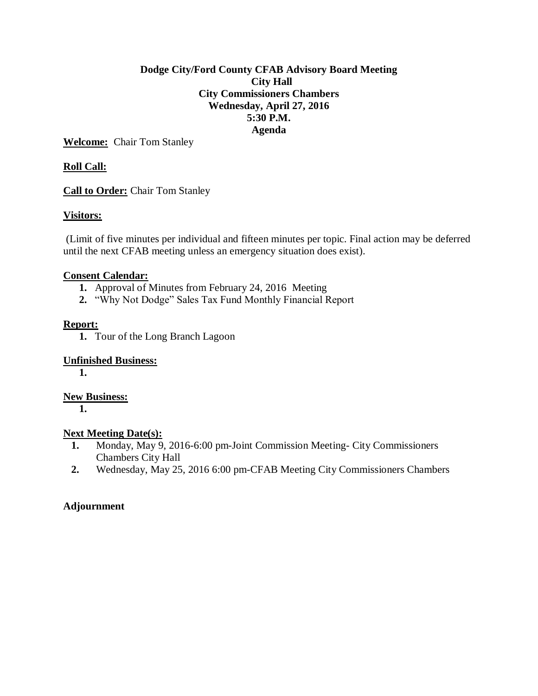### **Dodge City/Ford County CFAB Advisory Board Meeting City Hall City Commissioners Chambers Wednesday, April 27, 2016 5:30 P.M. Agenda**

**Welcome:** Chair Tom Stanley

## **Roll Call:**

**Call to Order:** Chair Tom Stanley

### **Visitors:**

(Limit of five minutes per individual and fifteen minutes per topic. Final action may be deferred until the next CFAB meeting unless an emergency situation does exist).

### **Consent Calendar:**

- **1.** Approval of Minutes from February 24, 2016 Meeting
- **2.** "Why Not Dodge" Sales Tax Fund Monthly Financial Report

### **Report:**

**1.** Tour of the Long Branch Lagoon

### **Unfinished Business:**

**1.**

### **New Business:**

**1.**

### **Next Meeting Date(s):**

- **1.** Monday, May 9, 2016-6:00 pm-Joint Commission Meeting- City Commissioners Chambers City Hall
- **2.** Wednesday, May 25, 2016 6:00 pm-CFAB Meeting City Commissioners Chambers

### **Adjournment**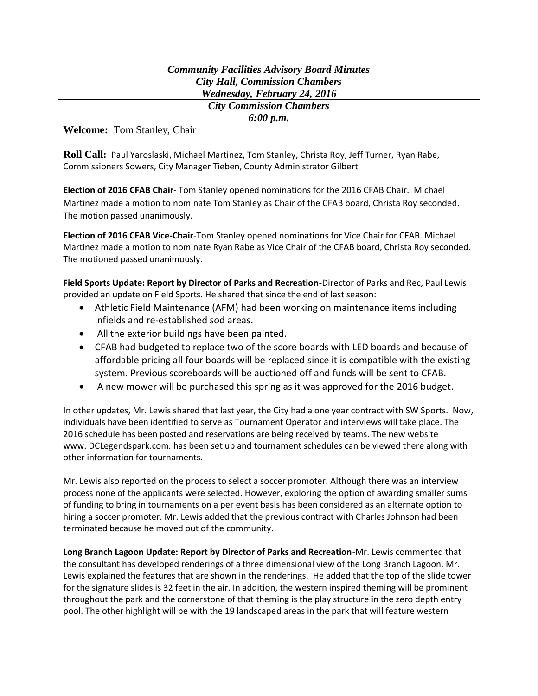### *Community Facilities Advisory Board Minutes City Hall, Commission Chambers Wednesday, February 24, 2016 City Commission Chambers*

*6:00 p.m.*

**Welcome:** Tom Stanley, Chair

**Roll Call:** Paul Yaroslaski, Michael Martinez, Tom Stanley, Christa Roy, Jeff Turner, Ryan Rabe, Commissioners Sowers, City Manager Tieben, County Administrator Gilbert

**Election of 2016 CFAB Chair**- Tom Stanley opened nominations for the 2016 CFAB Chair. Michael Martinez made a motion to nominate Tom Stanley as Chair of the CFAB board, Christa Roy seconded. The motion passed unanimously.

**Election of 2016 CFAB Vice-Chair**-Tom Stanley opened nominations for Vice Chair for CFAB. Michael Martinez made a motion to nominate Ryan Rabe as Vice Chair of the CFAB board, Christa Roy seconded. The motioned passed unanimously.

**Field Sports Update: Report by Director of Parks and Recreation-**Director of Parks and Rec, Paul Lewis provided an update on Field Sports. He shared that since the end of last season:

- Athletic Field Maintenance (AFM) had been working on maintenance items including infields and re-established sod areas.
- All the exterior buildings have been painted.
- CFAB had budgeted to replace two of the score boards with LED boards and because of affordable pricing all four boards will be replaced since it is compatible with the existing system. Previous scoreboards will be auctioned off and funds will be sent to CFAB.
- A new mower will be purchased this spring as it was approved for the 2016 budget.

In other updates, Mr. Lewis shared that last year, the City had a one year contract with SW Sports. Now, individuals have been identified to serve as Tournament Operator and interviews will take place. The 2016 schedule has been posted and reservations are being received by teams. The new website www. DCLegendspark.com. has been set up and tournament schedules can be viewed there along with other information for tournaments.

Mr. Lewis also reported on the process to select a soccer promoter. Although there was an interview process none of the applicants were selected. However, exploring the option of awarding smaller sums of funding to bring in tournaments on a per event basis has been considered as an alternate option to hiring a soccer promoter. Mr. Lewis added that the previous contract with Charles Johnson had been terminated because he moved out of the community.

**Long Branch Lagoon Update: Report by Director of Parks and Recreation**-Mr. Lewis commented that the consultant has developed renderings of a three dimensional view of the Long Branch Lagoon. Mr. Lewis explained the features that are shown in the renderings. He added that the top of the slide tower for the signature slides is 32 feet in the air. In addition, the western inspired theming will be prominent throughout the park and the cornerstone of that theming is the play structure in the zero depth entry pool. The other highlight will be with the 19 landscaped areas in the park that will feature western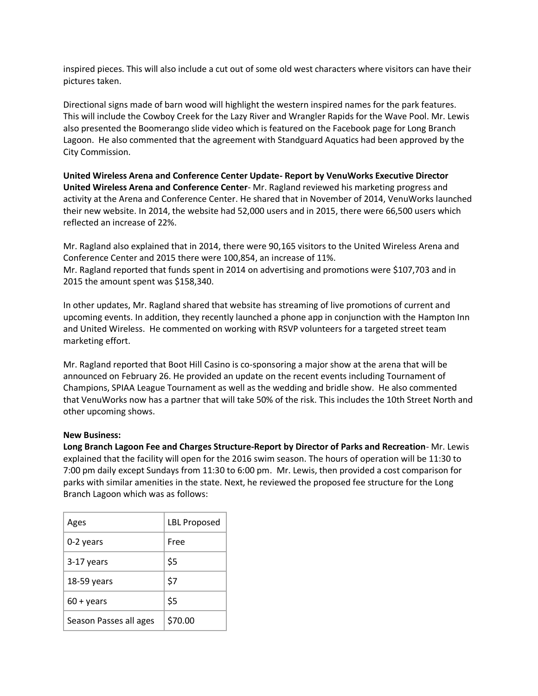inspired pieces. This will also include a cut out of some old west characters where visitors can have their pictures taken.

Directional signs made of barn wood will highlight the western inspired names for the park features. This will include the Cowboy Creek for the Lazy River and Wrangler Rapids for the Wave Pool. Mr. Lewis also presented the Boomerango slide video which is featured on the Facebook page for Long Branch Lagoon. He also commented that the agreement with Standguard Aquatics had been approved by the City Commission.

**United Wireless Arena and Conference Center Update- Report by VenuWorks Executive Director United Wireless Arena and Conference Center**- Mr. Ragland reviewed his marketing progress and activity at the Arena and Conference Center. He shared that in November of 2014, VenuWorks launched their new website. In 2014, the website had 52,000 users and in 2015, there were 66,500 users which reflected an increase of 22%.

Mr. Ragland also explained that in 2014, there were 90,165 visitors to the United Wireless Arena and Conference Center and 2015 there were 100,854, an increase of 11%. Mr. Ragland reported that funds spent in 2014 on advertising and promotions were \$107,703 and in 2015 the amount spent was \$158,340.

In other updates, Mr. Ragland shared that website has streaming of live promotions of current and upcoming events. In addition, they recently launched a phone app in conjunction with the Hampton Inn and United Wireless. He commented on working with RSVP volunteers for a targeted street team marketing effort.

Mr. Ragland reported that Boot Hill Casino is co-sponsoring a major show at the arena that will be announced on February 26. He provided an update on the recent events including Tournament of Champions, SPIAA League Tournament as well as the wedding and bridle show. He also commented that VenuWorks now has a partner that will take 50% of the risk. This includes the 10th Street North and other upcoming shows.

### **New Business:**

**Long Branch Lagoon Fee and Charges Structure-Report by Director of Parks and Recreation**- Mr. Lewis explained that the facility will open for the 2016 swim season. The hours of operation will be 11:30 to 7:00 pm daily except Sundays from 11:30 to 6:00 pm. Mr. Lewis, then provided a cost comparison for parks with similar amenities in the state. Next, he reviewed the proposed fee structure for the Long Branch Lagoon which was as follows:

| Ages                   | <b>LBL Proposed</b> |
|------------------------|---------------------|
| 0-2 years              | Free                |
| 3-17 years             | \$5                 |
| 18-59 years            | \$7                 |
| $60 + \gamma$ ears     | \$5                 |
| Season Passes all ages | \$70.00             |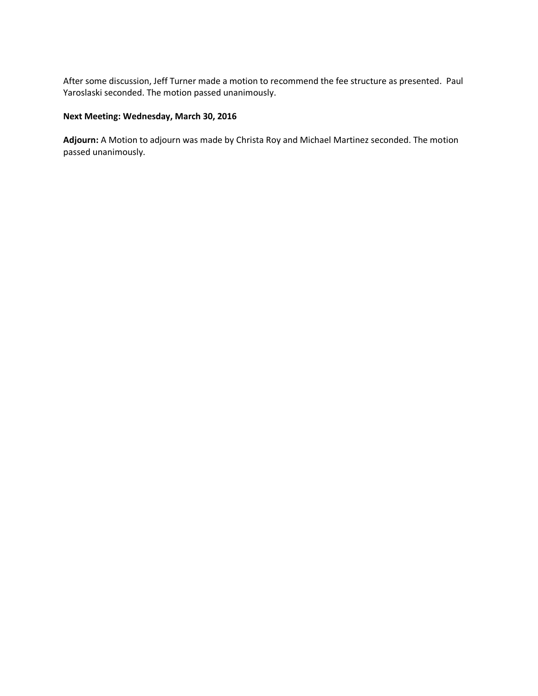After some discussion, Jeff Turner made a motion to recommend the fee structure as presented. Paul Yaroslaski seconded. The motion passed unanimously.

### **Next Meeting: Wednesday, March 30, 2016**

**Adjourn:** A Motion to adjourn was made by Christa Roy and Michael Martinez seconded. The motion passed unanimously.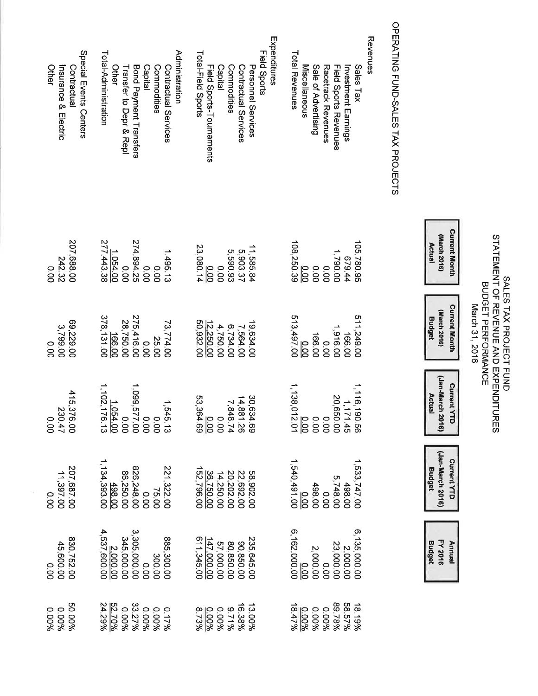# SALES TAX PROJECT FUND<br>STATEMENT OF REVENUE AND EXPENDITURES<br>BUDGET PERFORMANCE<br>March 31, 2016

| Budge          | <b>Budget</b>  | Actual         | <b>Budget</b>      | Actua            |
|----------------|----------------|----------------|--------------------|------------------|
| <b>FY 2016</b> | Jan-March 2016 | Jan-March 2016 | (March 2016        | (March 201       |
|                | Current<br>YTD | Current YTT    | <b>Curent Mond</b> | <b>Current M</b> |
|                |                |                |                    |                  |

## OPERATING FUND-SALES TAX PROJECTS

| Special Events Centers<br>Insurance & Electric<br>Other<br>Contractual | Administration<br>Total-Administration<br>Bond Payment Transfers<br>Capital<br>Other<br>Commodities<br>Transfer to Depr & Repl<br>Contractual Services                                                                                                            | Expenditures<br>Field Sports<br>Total-Field Sports<br>Field Sports-Tournaments<br>Personnel Services<br>Capital<br>Contractual Services<br>Commodities                                                                                                                                                  | Revenues<br>Total Revenues<br>Miscellaneous<br>Sale of Advertising<br>Sales Tax<br>Racetrack Revenues<br><b>Field Sports Revenues</b><br>Investment Earnings |
|------------------------------------------------------------------------|-------------------------------------------------------------------------------------------------------------------------------------------------------------------------------------------------------------------------------------------------------------------|---------------------------------------------------------------------------------------------------------------------------------------------------------------------------------------------------------------------------------------------------------------------------------------------------------|--------------------------------------------------------------------------------------------------------------------------------------------------------------|
| 207,688.00<br>242.32<br>0.00                                           | 1.054.00<br>0.00<br>274,894.25<br>1,495.13<br>00.00<br>00.0                                                                                                                                                                                                       | $\frac{0.00}{23,080.14}$<br>11,585.84<br>5,903.37<br>5,590.93<br>0.00                                                                                                                                                                                                                                   | 105,780.95<br>108,250.39<br>1,790.00<br>44.679<br>0.00<br>$\frac{1}{8}$<br>0.00                                                                              |
| 69,229.00<br>3,799.00<br>0.00                                          | 378, 131 00<br>0.00<br>275,416.00<br>28,750.00<br>73,774.00<br>25.00                                                                                                                                                                                              | 50,932.00<br>$4,750.00$<br>$12,250.00$<br>19,634.00<br>6,734.00<br>7,564.00                                                                                                                                                                                                                             | 511,249.00<br>513,497.00<br>1,916.00<br>00.916,1<br>166.00<br>166.00<br>$\frac{1}{6}$                                                                        |
| $415,376.00$<br>230.47<br>0.00                                         | $\begin{array}{r} 1,545.13 \\ 0.00 \\ 0.00 \\ 0.00 \\ 0.00 \\ 0.00 \\ 1,102,176.13 \\ 1,102,176.13 \\ \end{array}$                                                                                                                                                | $\begin{array}{r} 30,634.69 \\ 14,881.26 \\ \hline 7,848.74 \\ 7,848.740 \\ 0.00 \\ 0.90 \\ \hline \end{array}$                                                                                                                                                                                         | 1,116,190.56<br>20,650.00<br>20,650.00<br>20,650.00<br>1,138,012.01<br>1,138,012.01                                                                          |
| 207,687.00<br>00.7987.02<br>0.00                                       | $\begin{array}{l} 75.600 \\ 0.000 \\ 0.000 \\ 0.000 \\ 0.000 \\ 0.000 \\ 0.000 \\ 0.000 \\ 0.00 \\ 0.00 \\ 0.00 \\ 0.00 \\ \end{array}$<br>221,322.00                                                                                                             | 58,902.00<br>22,692.00<br>20,202.00<br>14,250.00<br>152,796.00<br>152,796.00                                                                                                                                                                                                                            | $\begin{array}{l} 1.533,747,000 \\ 0.000 \\ 0.000 \\ 0.000 \\ 0.000 \\ 0.000 \\ -1,540,491,00 \\ 0.00 \\ 0.00 \\ \hline \end{array}$                         |
| 830,752.00<br>45,600.00<br>0.00                                        | $\begin{array}{l} 885,300.00\\3.300.00\\3.305,000.00\\3.305,000.00\\3.305,000.00\\4,537,600.00\\4,537,600.00\end{array}$                                                                                                                                          | $\begin{array}{c} 235,645.00 \\ 90,850.00 \\ 86,850.00 \\ \hline 57,000.00 \\ 147.000.00 \\ 611,345.00 \\ \hline \end{array}$                                                                                                                                                                           | $\begin{array}{r} 6,135,000.00\ 2,000.00\ 2,000.00\ 2,000.00\ 2,000.00\ 2,000.00\ 6,162,000.00\ \end{array}$                                                 |
| 50.00%<br>0.00%<br>0.00%                                               | $\begin{array}{r} 0.17\%\\ 0.000\%\\ 0.000\%\\ 0.000\%\\ 0.000\%\\ 0.000\%\\ 0.00\%\\ 0.00\%\\ 0.00\%\\ 0.00\%\\ 0.00\%\\ 0.00\%\\ 0.00\%\\ 0.00\%\\ 0.00\%\\ 0.00\%\\ 0.00\%\\ 0.00\%\\ 0.00\%\\ 0.00\%\\ 0.00\%\\ 0.00\%\\ 0.00\%\\ 0.00\%\\ 0.00\%\\ 0.00\%\\$ | $\begin{array}{l} 13.988 \\ 13.9888 \\ 15.9988 \\ 16.9988 \\ 13.7798 \\ 13.88 \\ 13.98 \\ 13.8 \\ 13.8 \\ 13.8 \\ 13.8 \\ 13.8 \\ 13.8 \\ 13.8 \\ 13.8 \\ 13.8 \\ 13.8 \\ 14.8 \\ 15.8 \\ 16.8 \\ 17.8 \\ 18.8 \\ 19.8 \\ 19.8 \\ 19.8 \\ 19.8 \\ 19.8 \\ 19.8 \\ 19.8 \\ 19.8 \\ 19.8 \\ 19.8 \\ 19.8$ | $\begin{array}{r} 18.19\% \\ 18.57\% \\ 18.57\% \\ 0.000\% \\ 0.000\% \\ 0.000\% \\ 0.000\% \end{array}$                                                     |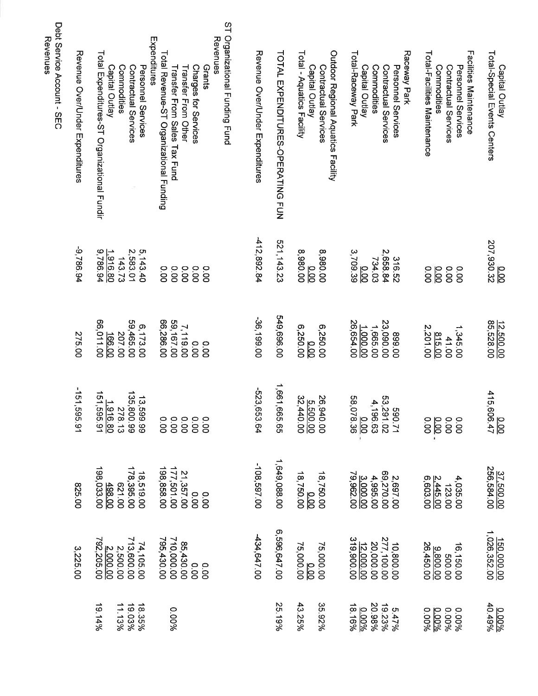| Total-Special Events Centers<br>Capital Outlay                          | 207,930.32                    | 12,500.00<br>85,528.00              | 415,606.47                      | 37.500.00<br>256,584.00  | 150,000.00<br>1,026,352.00 | $\frac{0.00\%}{40.49\%}$            |
|-------------------------------------------------------------------------|-------------------------------|-------------------------------------|---------------------------------|--------------------------|----------------------------|-------------------------------------|
| Facilities Maintenance<br>Personnel Services                            | 0.00                          | 1,345.00                            |                                 | 4,035.00<br>123.00       | 16,150.00<br>500.00        | 0.00%<br>0.00%                      |
| Total-Facilities Maintenance<br>Commodities<br>Contractual Services     | 0.00<br>$\frac{1}{6}$<br>0.00 | 815.00<br>2,201.00<br>41.00         |                                 | 2.445.00<br>6,603.00     | 26,450.00<br>9.800.00      | 00026<br>000%                       |
| Raceway Park                                                            |                               |                                     |                                 |                          |                            |                                     |
| Personnel Services<br>Contractual Services                              | 2,658.84<br>316.52            | 23,090.00<br>00'668                 | 590.71<br>53,291.02<br>4,196.63 | 00'02569<br>2,697.00     | 10,800.00<br>277,100.00    | 5.47%<br>19.23%                     |
| Commodities                                                             | 734.03                        | 1,665.00                            |                                 | 4,995.00                 | 20,000.00                  | 20.98%                              |
| Total-Raceway Park<br>Capital Outlay                                    | 3,709.39<br>$\frac{1}{6}$     | 26,654.00<br>1.000.00               | 00.0<br>58,078.36               | 3.000.00                 | 319,900.00<br>12,000.00    | 18.16%<br>0.00%                     |
| Outdoor Regional Aquatics Facility                                      |                               |                                     |                                 |                          |                            |                                     |
| Contractual Services                                                    | 8,980.00                      | 6,250.00                            | 26,940.00                       | 18,750.00                | 75,000.00                  | 35.92%                              |
| Total - Aquatics Facility<br>Capital Outlay                             | 8,980.00<br>$\frac{1}{6}$     | 6,250.00<br>$\frac{0.00}{\sqrt{2}}$ | $\frac{5.500.00}{32,440.00}$    | 18,750.00                | <u>0.00</u><br>75,000.00   | 43.25%                              |
| TOTAL EXPENDITURES-OPERATING FUN                                        | 521, 143.23                   | 549,696.00                          | 1,661,665.65                    | 1,649,088.00             | 6,596,647.00               | 25.19%                              |
| Revenue Over/Under Expenditures                                         | 412,892.84                    | -36,199.00                          | -523,653.64                     | -108,597.00              | -434,647.00                |                                     |
| ST Organizational Funding Fund<br>Revenues                              |                               |                                     |                                 |                          |                            |                                     |
| Grants                                                                  | <b>O.OO</b>                   | 0.00                                | 0.00                            | 00.00                    |                            |                                     |
| Charges for Services                                                    | 0.00                          | 0.00                                | 0000<br>0000<br>000             | 00.00                    |                            |                                     |
| Transfer From Other                                                     | 0.00                          | 7,119.00                            |                                 | 21,357.00                | 85,430.00                  |                                     |
| Total Revenue-ST Organizational Funding<br>Transfer From Sales Tax Fund | 0.00<br>0.00                  | 66,286.00<br>59, 167.00             | 0.00                            | 177,501.00<br>198,858.00 | 710,000.00<br>795,430.00   | 0.00%                               |
| Expenditures                                                            |                               |                                     |                                 |                          |                            |                                     |
| Personnel Services                                                      | 5,143.40                      | 6,173.00                            | 13,599.99<br>135,800.99         | 18,519.00                | 74,105.00<br>713,600.00    | $18.35\%$<br>$19.03\%$<br>$11.13\%$ |
| Commodities<br>Contractual Services                                     | 2,583.01<br>143.73            | 59,465.00<br>207.00                 |                                 | 178,395.00<br>00129      |                            |                                     |
| Capital Outlay                                                          | 1.916.80                      | <u>166.00</u>                       |                                 |                          | 2,500.00                   |                                     |
| Total Expenditures-ST Organizational Fundir                             | 9,786.94                      | 66,011.00                           | 278.13<br>1916.80<br>151,595.91 | 498.00<br>198,033.00     | 2.000.00                   | 49.14%                              |
| Revenue Over/Under Expenditures                                         | -9,786.94                     | 275.00                              | $-151, 595.91$                  | 825.00                   | 3,225.00                   |                                     |
| Dept Service Accout - SEC                                               |                               |                                     |                                 |                          |                            |                                     |

Revenues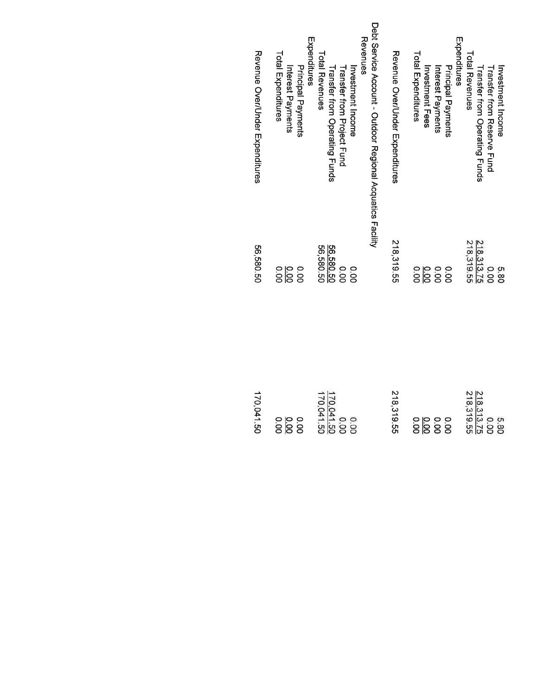| Revenue Over/Under Expenditures | Total Expenditures<br>Principal Payments<br>Interest Payments | Debt Service Account - Outdoor Regional Acquatics Facility<br>Revenues<br>Expenditures<br><b>Total Revenues</b><br>Investment Income<br><b>Transfer from Operating Funds</b><br><b>Transfer from Project Fund</b> | Revenue Over/Under mxpenditures | Expenditures<br>Total Expenditures<br>Principal Payments<br>Investment Fees<br>Interest Payments | Total Revenues<br><b>Investment Income</b><br><b>Transfer from Reserve Fund</b><br><b>Transfer from Operating Funds</b> |
|---------------------------------|---------------------------------------------------------------|-------------------------------------------------------------------------------------------------------------------------------------------------------------------------------------------------------------------|---------------------------------|--------------------------------------------------------------------------------------------------|-------------------------------------------------------------------------------------------------------------------------|
| 56,580.50                       | $rac{3}{8}$                                                   | 56,580.50<br>56,580.50<br>00.00<br>0.00                                                                                                                                                                           | 218,319.55                      | 0.00                                                                                             | 218.313.75<br>218,319.55<br>0.00<br>08'9                                                                                |
| 170,041.50                      | $rac{10}{100}$<br>0.00                                        | 170,041.50<br>170,041.50<br>0.00<br>0.00                                                                                                                                                                          | 218.319.55                      | 0.00                                                                                             | 218,313.75<br>218,319.55<br>000<br>5.80                                                                                 |